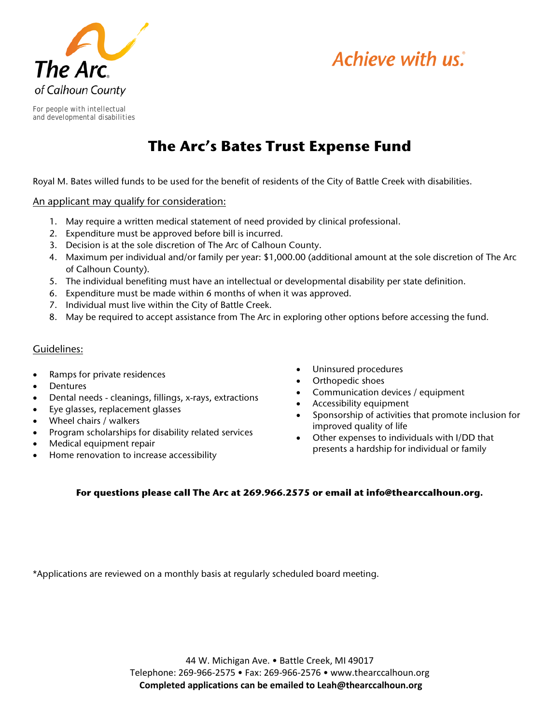



*For people with intellectual and developmental disabilities*

# **The Arc's Bates Trust Expense Fund**

Royal M. Bates willed funds to be used for the benefit of residents of the City of Battle Creek with disabilities.

An applicant may qualify for consideration:

- 1. May require a written medical statement of need provided by clinical professional.
- 2. Expenditure must be approved before bill is incurred.
- 3. Decision is at the sole discretion of The Arc of Calhoun County.
- 4. Maximum per individual and/or family per year: \$1,000.00 (additional amount at the sole discretion of The Arc of Calhoun County).
- 5. The individual benefiting must have an intellectual or developmental disability per state definition.
- 6. Expenditure must be made within 6 months of when it was approved.
- 7. Individual must live within the City of Battle Creek.
- 8. May be required to accept assistance from The Arc in exploring other options before accessing the fund.

#### Guidelines:

- Ramps for private residences
- **Dentures**
- Dental needs cleanings, fillings, x-rays, extractions
- Eye glasses, replacement glasses
- Wheel chairs / walkers
- Program scholarships for disability related services
- Medical equipment repair
- Home renovation to increase accessibility
- Uninsured procedures
- Orthopedic shoes
- Communication devices / equipment
- Accessibility equipment
- Sponsorship of activities that promote inclusion for improved quality of life
- Other expenses to individuals with I/DD that presents a hardship for individual or family

#### **For questions please call The Arc at 269.966.2575 or email at info@thearccalhoun.org.**

\*Applications are reviewed on a monthly basis at regularly scheduled board meeting.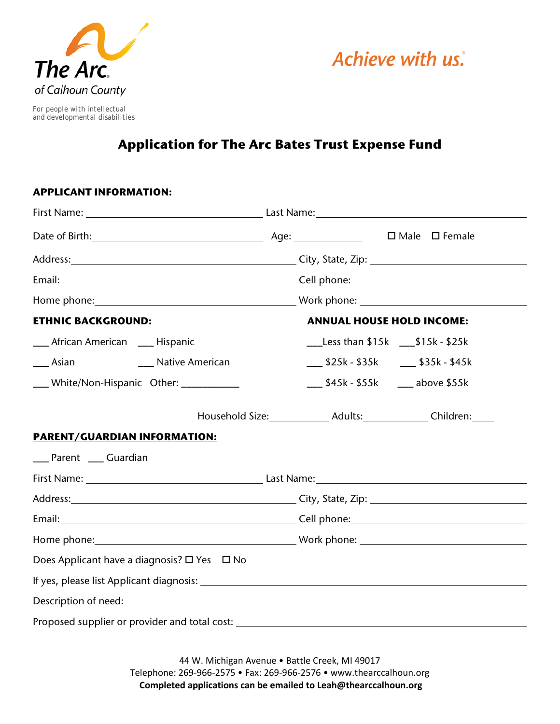



*For people with intellectual and developmental disabilities*

## **Application for The Arc Bates Trust Expense Fund**

### **APPLICANT INFORMATION:**

|                                                                                                                                                                                                                                     | First Name: 1990 March 2014 Last Name: 2014 Manne: 2014 Manne: 2014 Manne: 2014 Manne: 2014 Manne: 2014 Manne |                                                                         |  |
|-------------------------------------------------------------------------------------------------------------------------------------------------------------------------------------------------------------------------------------|---------------------------------------------------------------------------------------------------------------|-------------------------------------------------------------------------|--|
|                                                                                                                                                                                                                                     |                                                                                                               |                                                                         |  |
| Address: <u>Address:</u> Address: Address: Address: Address: Address: Address: Address: Address: Address: Address: Address: Address: Address: Address: Address: Address: Address: Address: Address: Address: Address: Address: Addr |                                                                                                               |                                                                         |  |
|                                                                                                                                                                                                                                     |                                                                                                               |                                                                         |  |
|                                                                                                                                                                                                                                     |                                                                                                               |                                                                         |  |
| <b>ETHNIC BACKGROUND:</b>                                                                                                                                                                                                           |                                                                                                               | <b>ANNUAL HOUSE HOLD INCOME:</b>                                        |  |
| __ African American __ Hispanic                                                                                                                                                                                                     |                                                                                                               | $_{\_\_\_\_\_\$ Less than \$15k $_{\_\_\_\_$ \$15k - \$25k              |  |
| <b>Asian</b><br>___ Native American                                                                                                                                                                                                 |                                                                                                               | ___ \$25k - \$35k ___ \$35k - \$45k                                     |  |
| ___ White/Non-Hispanic Other: __________                                                                                                                                                                                            |                                                                                                               | ___ \$45k - \$55k ___ above \$55k                                       |  |
|                                                                                                                                                                                                                                     |                                                                                                               | Household Size: _______________ Adults: _______________ Children: _____ |  |
| <b>PARENT/GUARDIAN INFORMATION:</b>                                                                                                                                                                                                 |                                                                                                               |                                                                         |  |
| __ Parent __ Guardian                                                                                                                                                                                                               |                                                                                                               |                                                                         |  |
|                                                                                                                                                                                                                                     |                                                                                                               |                                                                         |  |
|                                                                                                                                                                                                                                     |                                                                                                               |                                                                         |  |
|                                                                                                                                                                                                                                     |                                                                                                               |                                                                         |  |
|                                                                                                                                                                                                                                     |                                                                                                               |                                                                         |  |
| Does Applicant have a diagnosis? □ Yes □ No                                                                                                                                                                                         |                                                                                                               |                                                                         |  |
|                                                                                                                                                                                                                                     |                                                                                                               |                                                                         |  |
|                                                                                                                                                                                                                                     |                                                                                                               |                                                                         |  |
|                                                                                                                                                                                                                                     |                                                                                                               |                                                                         |  |

44 W. Michigan Avenue • Battle Creek, MI 49017 Telephone: 269-966-2575 • Fax: 269-966-2576 • www.thearccalhoun.org **Completed applications can be emailed to Leah@thearccalhoun.org**